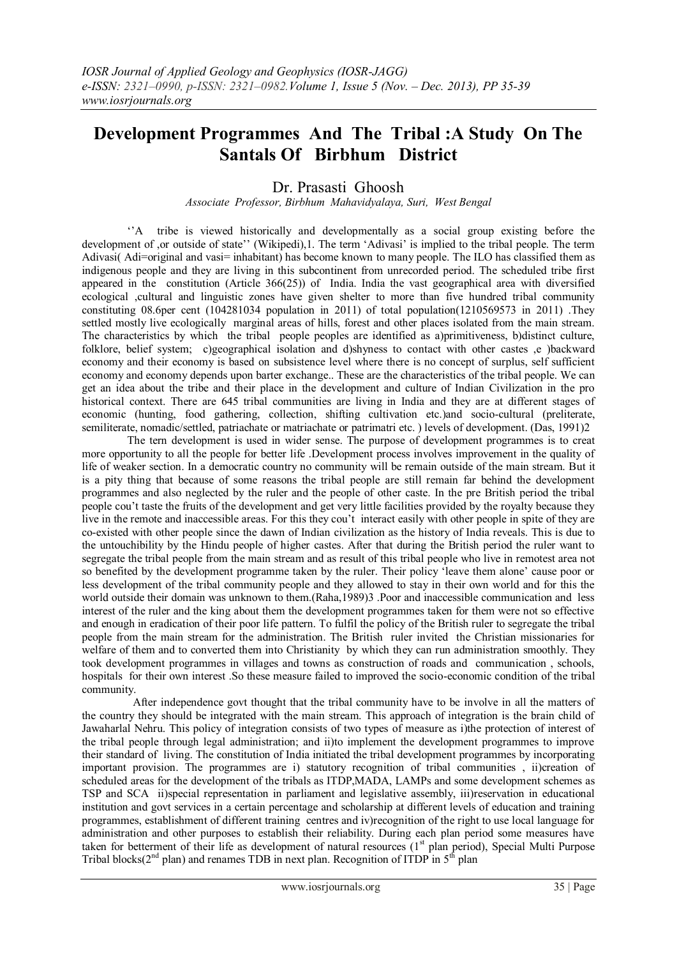# **Development Programmes And The Tribal :A Study On The Santals Of Birbhum District**

## Dr. Prasasti Ghoosh

*Associate Professor, Birbhum Mahavidyalaya, Suri, West Bengal*

 ''A tribe is viewed historically and developmentally as a social group existing before the development of ,or outside of state'' (Wikipedi),1. The term 'Adivasi' is implied to the tribal people. The term Adivasi( Adi=original and vasi= inhabitant) has become known to many people. The ILO has classified them as indigenous people and they are living in this subcontinent from unrecorded period. The scheduled tribe first appeared in the constitution (Article 366(25)) of India. India the vast geographical area with diversified ecological ,cultural and linguistic zones have given shelter to more than five hundred tribal community constituting 08.6per cent (104281034 population in 2011) of total population(1210569573 in 2011) .They settled mostly live ecologically marginal areas of hills, forest and other places isolated from the main stream. The characteristics by which the tribal people peoples are identified as a)primitiveness, b)distinct culture, folklore, belief system; c)geographical isolation and d)shyness to contact with other castes ,e )backward economy and their economy is based on subsistence level where there is no concept of surplus, self sufficient economy and economy depends upon barter exchange.. These are the characteristics of the tribal people. We can get an idea about the tribe and their place in the development and culture of Indian Civilization in the pro historical context. There are 645 tribal communities are living in India and they are at different stages of economic (hunting, food gathering, collection, shifting cultivation etc.)and socio-cultural (preliterate, semiliterate, nomadic/settled, patriachate or matriachate or patrimatri etc. ) levels of development. (Das, 1991)2

 The tern development is used in wider sense. The purpose of development programmes is to creat more opportunity to all the people for better life .Development process involves improvement in the quality of life of weaker section. In a democratic country no community will be remain outside of the main stream. But it is a pity thing that because of some reasons the tribal people are still remain far behind the development programmes and also neglected by the ruler and the people of other caste. In the pre British period the tribal people cou't taste the fruits of the development and get very little facilities provided by the royalty because they live in the remote and inaccessible areas. For this they cou't interact easily with other people in spite of they are co-existed with other people since the dawn of Indian civilization as the history of India reveals. This is due to the untouchibility by the Hindu people of higher castes. After that during the British period the ruler want to segregate the tribal people from the main stream and as result of this tribal people who live in remotest area not so benefited by the development programme taken by the ruler. Their policy 'leave them alone' cause poor or less development of the tribal community people and they allowed to stay in their own world and for this the world outside their domain was unknown to them.(Raha,1989)3 .Poor and inaccessible communication and less interest of the ruler and the king about them the development programmes taken for them were not so effective and enough in eradication of their poor life pattern. To fulfil the policy of the British ruler to segregate the tribal people from the main stream for the administration. The British ruler invited the Christian missionaries for welfare of them and to converted them into Christianity by which they can run administration smoothly. They took development programmes in villages and towns as construction of roads and communication , schools, hospitals for their own interest .So these measure failed to improved the socio-economic condition of the tribal community.

 After independence govt thought that the tribal community have to be involve in all the matters of the country they should be integrated with the main stream. This approach of integration is the brain child of Jawaharlal Nehru. This policy of integration consists of two types of measure as i)the protection of interest of the tribal people through legal administration; and ii)to implement the development programmes to improve their standard of living. The constitution of India initiated the tribal development programmes by incorporating important provision. The programmes are i) statutory recognition of tribal communities , ii)creation of scheduled areas for the development of the tribals as ITDP,MADA, LAMPs and some development schemes as TSP and SCA ii)special representation in parliament and legislative assembly, iii)reservation in educational institution and govt services in a certain percentage and scholarship at different levels of education and training programmes, establishment of different training centres and iv)recognition of the right to use local language for administration and other purposes to establish their reliability. During each plan period some measures have taken for betterment of their life as development of natural resources  $(1<sup>st</sup>$  plan period), Special Multi Purpose Tribal blocks( $2<sup>nd</sup>$  plan) and renames TDB in next plan. Recognition of ITDP in  $5<sup>th</sup>$  plan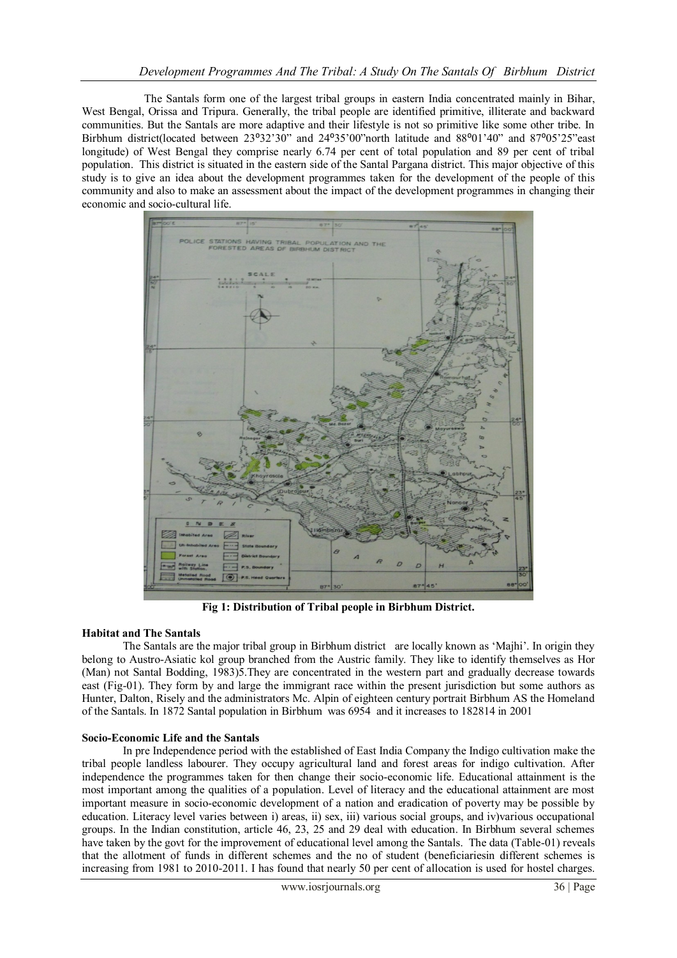The Santals form one of the largest tribal groups in eastern India concentrated mainly in Bihar, West Bengal, Orissa and Tripura. Generally, the tribal people are identified primitive, illiterate and backward communities. But the Santals are more adaptive and their lifestyle is not so primitive like some other tribe. In Birbhum district(located between 23°32'30" and 24°35'00"north latitude and 88°01'40" and 87°05'25"east longitude) of West Bengal they comprise nearly 6.74 per cent of total population and 89 per cent of tribal population. This district is situated in the eastern side of the Santal Pargana district. This major objective of this study is to give an idea about the development programmes taken for the development of the people of this community and also to make an assessment about the impact of the development programmes in changing their economic and socio-cultural life.



**Fig 1: Distribution of Tribal people in Birbhum District.**

### **Habitat and The Santals**

The Santals are the major tribal group in Birbhum district are locally known as 'Majhi'. In origin they belong to Austro-Asiatic kol group branched from the Austric family. They like to identify themselves as Hor (Man) not Santal Bodding, 1983)5.They are concentrated in the western part and gradually decrease towards east (Fig-01). They form by and large the immigrant race within the present jurisdiction but some authors as Hunter, Dalton, Risely and the administrators Mc. Alpin of eighteen century portrait Birbhum AS the Homeland of the Santals. In 1872 Santal population in Birbhum was 6954 and it increases to 182814 in 2001

### **Socio-Economic Life and the Santals**

In pre Independence period with the established of East India Company the Indigo cultivation make the tribal people landless labourer. They occupy agricultural land and forest areas for indigo cultivation. After independence the programmes taken for then change their socio-economic life. Educational attainment is the most important among the qualities of a population. Level of literacy and the educational attainment are most important measure in socio-economic development of a nation and eradication of poverty may be possible by education. Literacy level varies between i) areas, ii) sex, iii) various social groups, and iv)various occupational groups. In the Indian constitution, article 46, 23, 25 and 29 deal with education. In Birbhum several schemes have taken by the govt for the improvement of educational level among the Santals. The data (Table-01) reveals that the allotment of funds in different schemes and the no of student (beneficiariesin different schemes is increasing from 1981 to 2010-2011. I has found that nearly 50 per cent of allocation is used for hostel charges.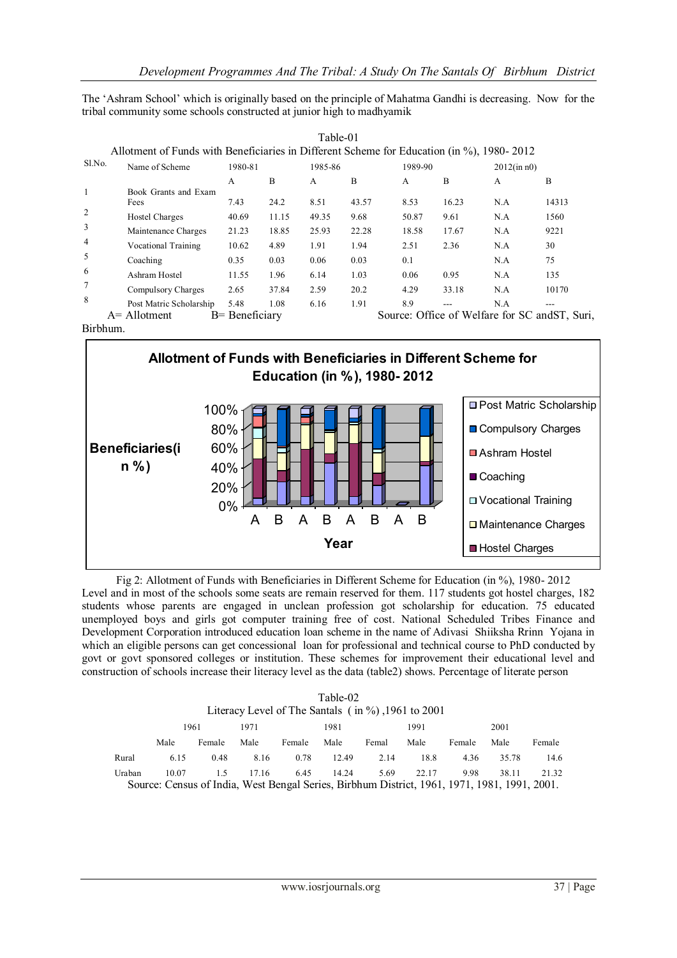The 'Ashram School' which is originally based on the principle of Mahatma Gandhi is decreasing. Now for the tribal community some schools constructed at junior high to madhyamik

| Sl.No. | Name of Scheme               | 1980-81 |       |       | 1985-86 |       | 1989-90 |     | $2012$ (in n0) |
|--------|------------------------------|---------|-------|-------|---------|-------|---------|-----|----------------|
|        |                              | A       | B     | A     | B       | A     | B       | A   | B              |
|        | Book Grants and Exam<br>Fees | 7.43    | 24.2  | 8.51  | 43.57   | 8.53  | 16.23   | N.A | 14313          |
|        | <b>Hostel Charges</b>        | 40.69   | 11.15 | 49.35 | 9.68    | 50.87 | 9.61    | N.A | 1560           |
|        | Maintenance Charges          | 21.23   | 18.85 | 25.93 | 22.28   | 18.58 | 17.67   | N.A | 9221           |
|        | <b>Vocational Training</b>   | 10.62   | 4.89  | 1.91  | 1.94    | 2.51  | 2.36    | N.A | 30             |
|        | Coaching                     | 0.35    | 0.03  | 0.06  | 0.03    | 0.1   |         | N.A | 75             |
|        | Ashram Hostel                | 11.55   | 1.96  | 6.14  | 1.03    | 0.06  | 0.95    | N.A | 135            |
|        | Compulsory Charges           | 2.65    | 37.84 | 2.59  | 20.2    | 4.29  | 33.18   | N.A | 10170          |
|        | Post Matric Scholarship      | 5.48    | 1.08  | 6.16  | 1.91    | 8.9   | ---     | N.A | $---$          |

Birbhum.



Fig 2: Allotment of Funds with Beneficiaries in Different Scheme for Education (in %), 1980-2012 Fig. 2. Another of Funds with Beneficialles in Billetin Scheme for Education (in 70), 1960-2012<br>Level and in most of the schools some seats are remain reserved for them. 117 students got hostel charges, 182 students whose parents are engaged in unclean profession got scholarship for education. 75 educated unemployed boys and girls got computer training free of cost. National Scheduled Tribes Finance and Development Corporation introduced education loan scheme in the name of Adivasi Shiiksha Rrinn Yojana in which an eligible persons can get concessional loan for professional and technical course to PhD conducted by govt or govt sponsored colleges or institution. These schemes for improvement their educational level and construction of schools increase their literacy level as the data (table2) shows. Percentage of literate person

| Table-02     |                                                           |        |       |        |       |       |                                                                                              |        |       |        |
|--------------|-----------------------------------------------------------|--------|-------|--------|-------|-------|----------------------------------------------------------------------------------------------|--------|-------|--------|
|              | Literacy Level of The Santals $($ in $\%$ ), 1961 to 2001 |        |       |        |       |       |                                                                                              |        |       |        |
| 1961<br>1971 |                                                           |        |       | 1981   |       |       | 1991                                                                                         |        | 2001  |        |
|              | Male                                                      | Female | Male  | Female | Male  | Femal | Male                                                                                         | Female | Male  | Female |
| Rural        | 6.15                                                      | 0.48   | 8.16  | 0.78   | 12.49 | 2.14  | 18.8                                                                                         | 4.36   | 35.78 | 14.6   |
| Uraban       | 10.07                                                     | 1.5    | 17.16 | 6.45   | 14.24 | 5.69  | 22.17                                                                                        | 9.98   | 38.11 | 21.32  |
|              |                                                           |        |       |        |       |       | Source: Census of India, West Bengal Series, Birbhum District, 1961, 1971, 1981, 1991, 2001. |        |       |        |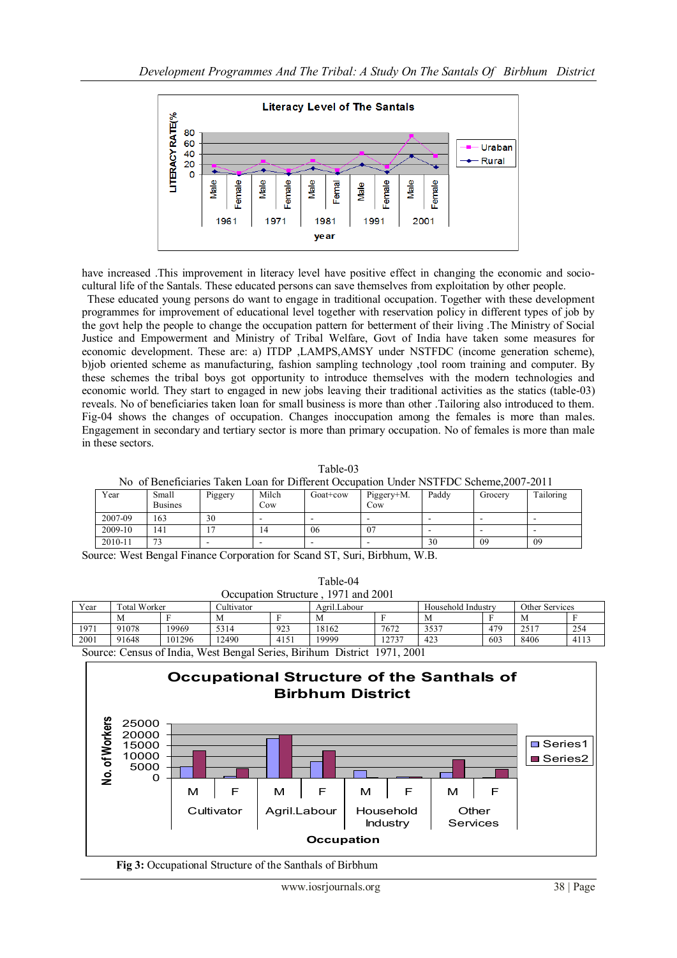

have increased .This improvement in literacy level have positive effect in changing the economic and sociocultural life of the Santals. These educated persons can save themselves from exploitation by other people.

 These educated young persons do want to engage in traditional occupation. Together with these development programmes for improvement of educational level together with reservation policy in different types of job by the govt help the people to change the occupation pattern for betterment of their living .The Ministry of Social Justice and Empowerment and Ministry of Tribal Welfare, Govt of India have taken some measures for economic development. These are: a) ITDP ,LAMPS,AMSY under NSTFDC (income generation scheme), b)job oriented scheme as manufacturing, fashion sampling technology ,tool room training and computer. By these schemes the tribal boys got opportunity to introduce themselves with the modern technologies and economic world. They start to engaged in new jobs leaving their traditional activities as the statics (table-03) reveals. No of beneficiaries taken loan for small business is more than other .Tailoring also introduced to them. Fig-04 shows the changes of occupation. Changes inoccupation among the females is more than males. Engagement in secondary and tertiary sector is more than primary occupation. No of females is more than male in these sectors.

Table-03

| No of Beneficiaries Taken Loan for Different Occupation Under NSTFDC Scheme.2007-2011 |  |
|---------------------------------------------------------------------------------------|--|
|---------------------------------------------------------------------------------------|--|

| Year    | Small<br><b>Busines</b> | Piggery | Milch<br>Cow | Goat+cow | Piggery+M.<br>Cow | Paddy                    | Grocery | Tailoring |
|---------|-------------------------|---------|--------------|----------|-------------------|--------------------------|---------|-----------|
| 2007-09 | 163                     | 30      | -            |          |                   | -                        | -       | -         |
| 2009-10 | 141                     | -       | 14           | 06       | 07                | $\overline{\phantom{0}}$ | -       | -         |
| 2010-11 | $\sim$                  | -       | -            | -        |                   | 30                       | 09      | 09        |

Source: West Bengal Finance Corporation for Scand ST, Suri, Birbhum, W.B.

| Occupation Structure, 1971 and 2001                            |              |        |            |      |              |       |                    |     |                |      |
|----------------------------------------------------------------|--------------|--------|------------|------|--------------|-------|--------------------|-----|----------------|------|
| Year                                                           | Total Worker |        | Cultivator |      | Agril.Labour |       | Household Industry |     | Other Services |      |
|                                                                | M            |        | M          |      | M            |       | М                  |     | М              |      |
| 1971                                                           | 91078        | 19969  | 5314       | 923  | 18162        | 7672  | 3537               | 479 | 2517           | 254  |
| 2001                                                           | 91648        | 101296 | 12490      | 4151 | 19999        | .2737 | 423                | 603 | 8406           | 4113 |
| $0 \sim 0.071$ $0.001$ $0.001$ $0.001$ $0.001$ $0.001$ $0.001$ |              |        |            |      |              |       |                    |     |                |      |

Table-04

Source: Census of India, West Bengal Series, Birihum District 1971, 2001